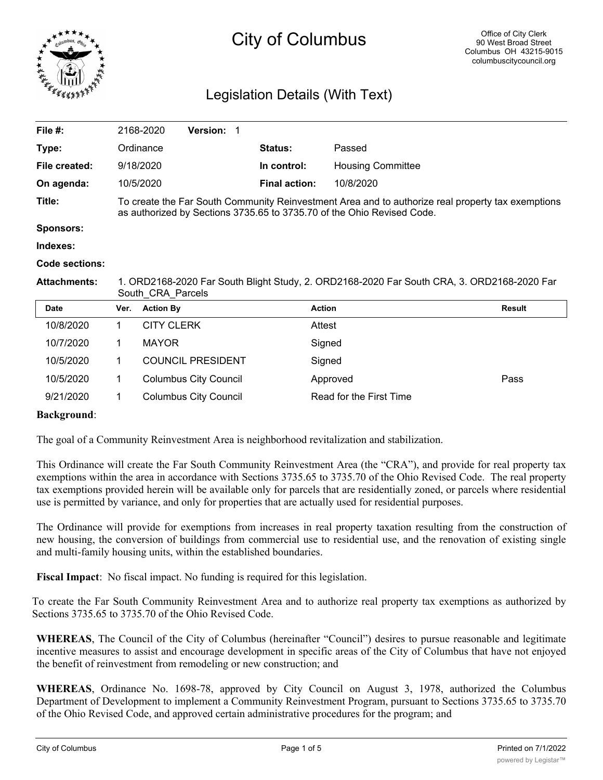

# City of Columbus

# Legislation Details (With Text)

| File $#$ :            |                                                                                                                                                                             | 2168-2020         | <b>Version: 1</b>            |                      |                          |               |
|-----------------------|-----------------------------------------------------------------------------------------------------------------------------------------------------------------------------|-------------------|------------------------------|----------------------|--------------------------|---------------|
| Type:                 |                                                                                                                                                                             | Ordinance         |                              | <b>Status:</b>       | Passed                   |               |
| File created:         |                                                                                                                                                                             | 9/18/2020         |                              | In control:          | <b>Housing Committee</b> |               |
| On agenda:            |                                                                                                                                                                             | 10/5/2020         |                              | <b>Final action:</b> | 10/8/2020                |               |
| Title:                | To create the Far South Community Reinvestment Area and to authorize real property tax exemptions<br>as authorized by Sections 3735.65 to 3735.70 of the Ohio Revised Code. |                   |                              |                      |                          |               |
| <b>Sponsors:</b>      |                                                                                                                                                                             |                   |                              |                      |                          |               |
| Indexes:              |                                                                                                                                                                             |                   |                              |                      |                          |               |
| <b>Code sections:</b> |                                                                                                                                                                             |                   |                              |                      |                          |               |
| <b>Attachments:</b>   | 1. ORD2168-2020 Far South Blight Study, 2. ORD2168-2020 Far South CRA, 3. ORD2168-2020 Far<br>South CRA Parcels                                                             |                   |                              |                      |                          |               |
| <b>Date</b>           | Ver.                                                                                                                                                                        | <b>Action By</b>  |                              |                      | <b>Action</b>            | <b>Result</b> |
| 10/8/2020             | 1.                                                                                                                                                                          | <b>CITY CLERK</b> |                              |                      | Attest                   |               |
| 10/7/2020             | 1                                                                                                                                                                           | <b>MAYOR</b>      |                              |                      | Signed                   |               |
| 10/5/2020             | 1                                                                                                                                                                           |                   | <b>COUNCIL PRESIDENT</b>     |                      | Signed                   |               |
| 10/5/2020             | 1                                                                                                                                                                           |                   | <b>Columbus City Council</b> |                      | Approved                 | Pass          |
| 9/21/2020             |                                                                                                                                                                             |                   | Columbus City Council        |                      | Read for the First Time  |               |

### **Background**:

The goal of a Community Reinvestment Area is neighborhood revitalization and stabilization.

This Ordinance will create the Far South Community Reinvestment Area (the "CRA"), and provide for real property tax exemptions within the area in accordance with Sections 3735.65 to 3735.70 of the Ohio Revised Code. The real property tax exemptions provided herein will be available only for parcels that are residentially zoned, or parcels where residential use is permitted by variance, and only for properties that are actually used for residential purposes.

The Ordinance will provide for exemptions from increases in real property taxation resulting from the construction of new housing, the conversion of buildings from commercial use to residential use, and the renovation of existing single and multi-family housing units, within the established boundaries.

**Fiscal Impact**: No fiscal impact. No funding is required for this legislation.

To create the Far South Community Reinvestment Area and to authorize real property tax exemptions as authorized by Sections 3735.65 to 3735.70 of the Ohio Revised Code.

**WHEREAS**, The Council of the City of Columbus (hereinafter "Council") desires to pursue reasonable and legitimate incentive measures to assist and encourage development in specific areas of the City of Columbus that have not enjoyed the benefit of reinvestment from remodeling or new construction; and

**WHEREAS**, Ordinance No. 1698-78, approved by City Council on August 3, 1978, authorized the Columbus Department of Development to implement a Community Reinvestment Program, pursuant to Sections 3735.65 to 3735.70 of the Ohio Revised Code, and approved certain administrative procedures for the program; and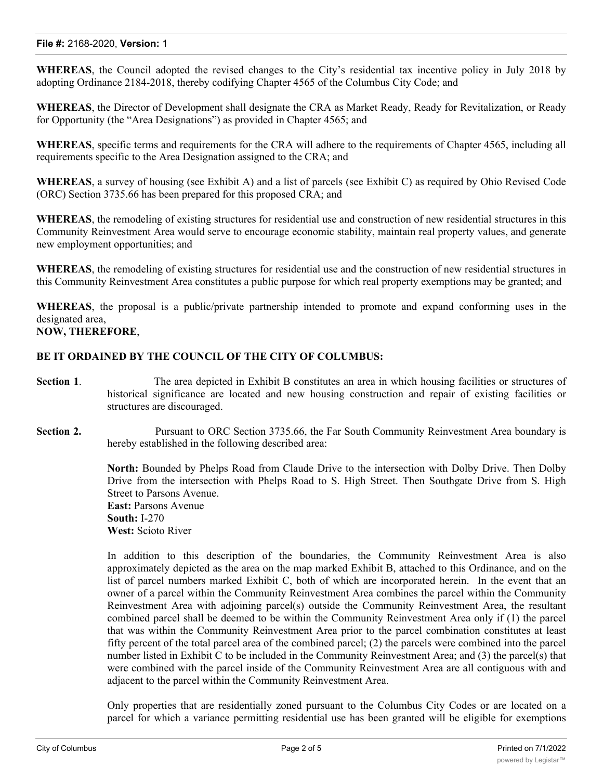#### **File #:** 2168-2020, **Version:** 1

**WHEREAS**, the Council adopted the revised changes to the City's residential tax incentive policy in July 2018 by adopting Ordinance 2184-2018, thereby codifying Chapter 4565 of the Columbus City Code; and

**WHEREAS**, the Director of Development shall designate the CRA as Market Ready, Ready for Revitalization, or Ready for Opportunity (the "Area Designations") as provided in Chapter 4565; and

**WHEREAS**, specific terms and requirements for the CRA will adhere to the requirements of Chapter 4565, including all requirements specific to the Area Designation assigned to the CRA; and

**WHEREAS**, a survey of housing (see Exhibit A) and a list of parcels (see Exhibit C) as required by Ohio Revised Code (ORC) Section 3735.66 has been prepared for this proposed CRA; and

**WHEREAS**, the remodeling of existing structures for residential use and construction of new residential structures in this Community Reinvestment Area would serve to encourage economic stability, maintain real property values, and generate new employment opportunities; and

**WHEREAS**, the remodeling of existing structures for residential use and the construction of new residential structures in this Community Reinvestment Area constitutes a public purpose for which real property exemptions may be granted; and

**WHEREAS**, the proposal is a public/private partnership intended to promote and expand conforming uses in the designated area,

# **NOW, THEREFORE**,

# **BE IT ORDAINED BY THE COUNCIL OF THE CITY OF COLUMBUS:**

- **Section 1.** The area depicted in Exhibit B constitutes an area in which housing facilities or structures of historical significance are located and new housing construction and repair of existing facilities or structures are discouraged.
- **Section 2.** Pursuant to ORC Section 3735.66, the Far South Community Reinvestment Area boundary is hereby established in the following described area:

**North:** Bounded by Phelps Road from Claude Drive to the intersection with Dolby Drive. Then Dolby Drive from the intersection with Phelps Road to S. High Street. Then Southgate Drive from S. High Street to Parsons Avenue. **East:** Parsons Avenue

**South:** I-270 **West:** Scioto River

In addition to this description of the boundaries, the Community Reinvestment Area is also approximately depicted as the area on the map marked Exhibit B, attached to this Ordinance, and on the list of parcel numbers marked Exhibit C, both of which are incorporated herein. In the event that an owner of a parcel within the Community Reinvestment Area combines the parcel within the Community Reinvestment Area with adjoining parcel(s) outside the Community Reinvestment Area, the resultant combined parcel shall be deemed to be within the Community Reinvestment Area only if (1) the parcel that was within the Community Reinvestment Area prior to the parcel combination constitutes at least fifty percent of the total parcel area of the combined parcel; (2) the parcels were combined into the parcel number listed in Exhibit C to be included in the Community Reinvestment Area; and (3) the parcel(s) that were combined with the parcel inside of the Community Reinvestment Area are all contiguous with and adjacent to the parcel within the Community Reinvestment Area.

Only properties that are residentially zoned pursuant to the Columbus City Codes or are located on a parcel for which a variance permitting residential use has been granted will be eligible for exemptions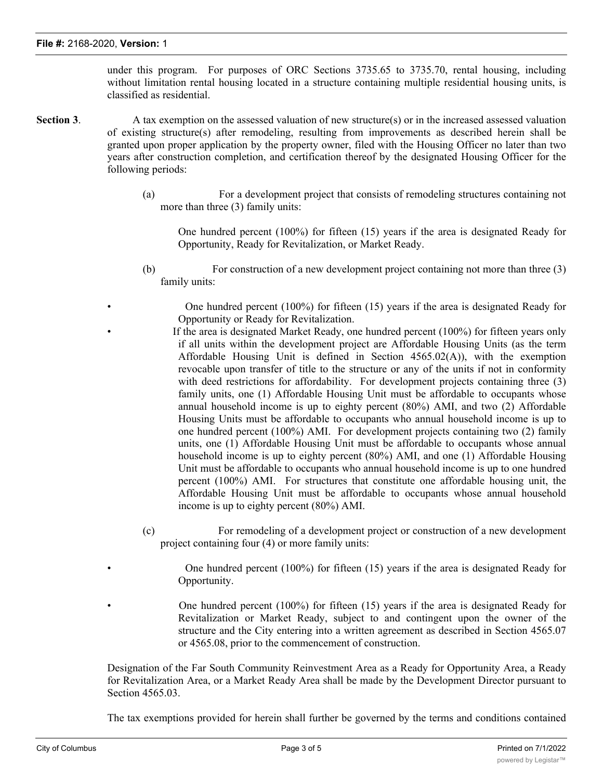under this program. For purposes of ORC Sections 3735.65 to 3735.70, rental housing, including without limitation rental housing located in a structure containing multiple residential housing units, is classified as residential.

- **Section 3.** A tax exemption on the assessed valuation of new structure(s) or in the increased assessed valuation of existing structure(s) after remodeling, resulting from improvements as described herein shall be granted upon proper application by the property owner, filed with the Housing Officer no later than two years after construction completion, and certification thereof by the designated Housing Officer for the following periods:
	- (a) For a development project that consists of remodeling structures containing not more than three (3) family units:

One hundred percent (100%) for fifteen (15) years if the area is designated Ready for Opportunity, Ready for Revitalization, or Market Ready.

(b) For construction of a new development project containing not more than three (3) family units:

• One hundred percent (100%) for fifteen (15) years if the area is designated Ready for Opportunity or Ready for Revitalization.

- If the area is designated Market Ready, one hundred percent (100%) for fifteen years only if all units within the development project are Affordable Housing Units (as the term Affordable Housing Unit is defined in Section  $4565.02(A)$ , with the exemption revocable upon transfer of title to the structure or any of the units if not in conformity with deed restrictions for affordability. For development projects containing three (3) family units, one (1) Affordable Housing Unit must be affordable to occupants whose annual household income is up to eighty percent (80%) AMI, and two (2) Affordable Housing Units must be affordable to occupants who annual household income is up to one hundred percent (100%) AMI. For development projects containing two (2) family units, one (1) Affordable Housing Unit must be affordable to occupants whose annual household income is up to eighty percent (80%) AMI, and one (1) Affordable Housing Unit must be affordable to occupants who annual household income is up to one hundred percent (100%) AMI. For structures that constitute one affordable housing unit, the Affordable Housing Unit must be affordable to occupants whose annual household income is up to eighty percent (80%) AMI.
- (c) For remodeling of a development project or construction of a new development project containing four (4) or more family units:
- One hundred percent (100%) for fifteen (15) years if the area is designated Ready for Opportunity.
- One hundred percent (100%) for fifteen (15) years if the area is designated Ready for Revitalization or Market Ready, subject to and contingent upon the owner of the structure and the City entering into a written agreement as described in Section 4565.07 or 4565.08, prior to the commencement of construction.

Designation of the Far South Community Reinvestment Area as a Ready for Opportunity Area, a Ready for Revitalization Area, or a Market Ready Area shall be made by the Development Director pursuant to Section 4565.03.

The tax exemptions provided for herein shall further be governed by the terms and conditions contained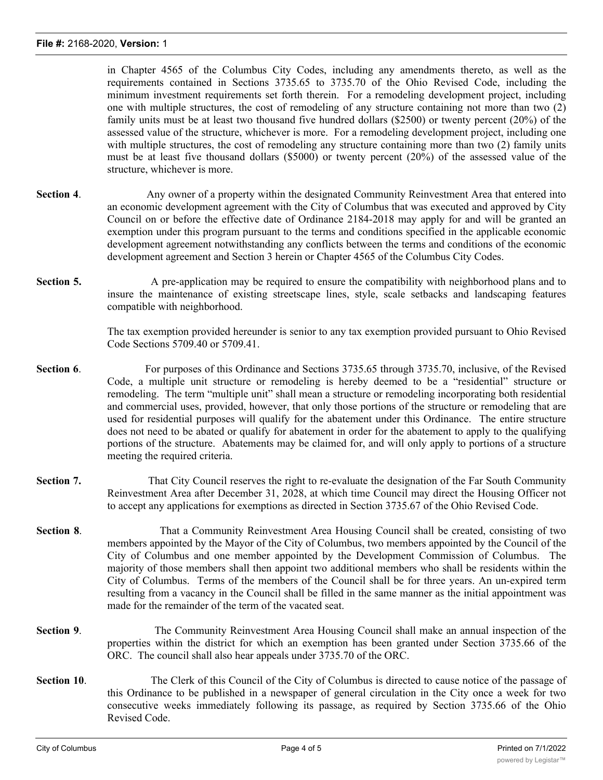in Chapter 4565 of the Columbus City Codes, including any amendments thereto, as well as the requirements contained in Sections 3735.65 to 3735.70 of the Ohio Revised Code, including the minimum investment requirements set forth therein. For a remodeling development project, including one with multiple structures, the cost of remodeling of any structure containing not more than two (2) family units must be at least two thousand five hundred dollars (\$2500) or twenty percent (20%) of the assessed value of the structure, whichever is more. For a remodeling development project, including one with multiple structures, the cost of remodeling any structure containing more than two (2) family units must be at least five thousand dollars (\$5000) or twenty percent (20%) of the assessed value of the structure, whichever is more.

- **Section 4.** Any owner of a property within the designated Community Reinvestment Area that entered into an economic development agreement with the City of Columbus that was executed and approved by City Council on or before the effective date of Ordinance 2184-2018 may apply for and will be granted an exemption under this program pursuant to the terms and conditions specified in the applicable economic development agreement notwithstanding any conflicts between the terms and conditions of the economic development agreement and Section 3 herein or Chapter 4565 of the Columbus City Codes.
- **Section 5.** A pre-application may be required to ensure the compatibility with neighborhood plans and to insure the maintenance of existing streetscape lines, style, scale setbacks and landscaping features compatible with neighborhood.

The tax exemption provided hereunder is senior to any tax exemption provided pursuant to Ohio Revised Code Sections 5709.40 or 5709.41.

- **Section 6.** For purposes of this Ordinance and Sections 3735.65 through 3735.70, inclusive, of the Revised Code, a multiple unit structure or remodeling is hereby deemed to be a "residential" structure or remodeling. The term "multiple unit" shall mean a structure or remodeling incorporating both residential and commercial uses, provided, however, that only those portions of the structure or remodeling that are used for residential purposes will qualify for the abatement under this Ordinance. The entire structure does not need to be abated or qualify for abatement in order for the abatement to apply to the qualifying portions of the structure. Abatements may be claimed for, and will only apply to portions of a structure meeting the required criteria.
- **Section 7.** That City Council reserves the right to re-evaluate the designation of the Far South Community Reinvestment Area after December 31, 2028, at which time Council may direct the Housing Officer not to accept any applications for exemptions as directed in Section 3735.67 of the Ohio Revised Code.
- **Section 8.** That a Community Reinvestment Area Housing Council shall be created, consisting of two members appointed by the Mayor of the City of Columbus, two members appointed by the Council of the City of Columbus and one member appointed by the Development Commission of Columbus. The majority of those members shall then appoint two additional members who shall be residents within the City of Columbus. Terms of the members of the Council shall be for three years. An un-expired term resulting from a vacancy in the Council shall be filled in the same manner as the initial appointment was made for the remainder of the term of the vacated seat.
- **Section 9.** The Community Reinvestment Area Housing Council shall make an annual inspection of the properties within the district for which an exemption has been granted under Section 3735.66 of the ORC. The council shall also hear appeals under 3735.70 of the ORC.
- **Section 10.** The Clerk of this Council of the City of Columbus is directed to cause notice of the passage of this Ordinance to be published in a newspaper of general circulation in the City once a week for two consecutive weeks immediately following its passage, as required by Section 3735.66 of the Ohio Revised Code.